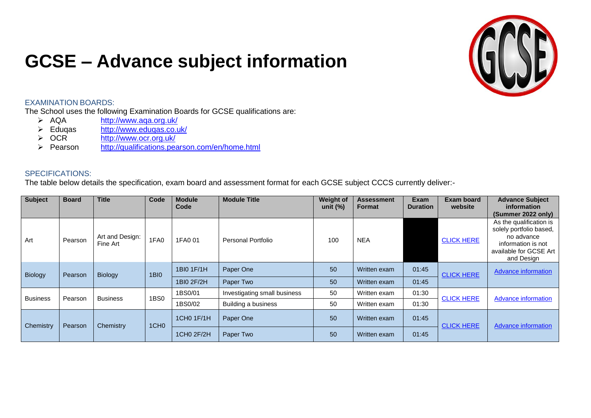## **GCSE – Advance subject information**



## EXAMINATION BOARDS:

The School uses the following Examination Boards for GCSE qualifications are:

- > AQA <http://www.aqa.org.uk/><br>
> Edugas http://www.edugas.co.u
- > Eduqas <http://www.eduqas.co.uk/><br>
→ OCR http://www.ocr.org.uk/
- > OCR <http://www.ocr.org.uk/><br>> Pearson http://qualifications.pea
- <http://qualifications.pearson.com/en/home.html>

## SPECIFICATIONS:

The table below details the specification, exam board and assessment format for each GCSE subject CCCS currently deliver:-

| <b>Subject</b>  | <b>Board</b> | <b>Title</b>                | Code | <b>Module</b><br>Code | <b>Module Title</b> | <b>Weight of</b><br>unit (%) | <b>Assessment</b><br><b>Format</b> | Exam<br><b>Duration</b> | <b>Exam board</b><br>website | <b>Advance Subject</b><br>information<br>(Summer 2022 only)                                                                    |                            |       |  |  |
|-----------------|--------------|-----------------------------|------|-----------------------|---------------------|------------------------------|------------------------------------|-------------------------|------------------------------|--------------------------------------------------------------------------------------------------------------------------------|----------------------------|-------|--|--|
| Art             | Pearson      | Art and Design:<br>Fine Art | 1FA0 | 1FA0 01               | Personal Portfolio  | 100                          | <b>NEA</b>                         |                         | <b>CLICK HERE</b>            | As the qualification is<br>solely portfolio based,<br>no advance<br>information is not<br>available for GCSE Art<br>and Design |                            |       |  |  |
| <b>Biology</b>  | Pearson      | <b>Biology</b>              |      | <b>1BI0</b>           | 1BI0 1F/1H          | Paper One                    | 50                                 | Written exam            | 01:45                        | <b>CLICK HERE</b>                                                                                                              | <b>Advance information</b> |       |  |  |
|                 |              |                             |      | 1BI0 2F/2H            | Paper Two           | 50                           | Written exam                       | 01:45                   |                              |                                                                                                                                |                            |       |  |  |
|                 |              | <b>Business</b>             |      |                       |                     | 1BS0                         |                                    | 1BS0/01                 | Investigating small business | 50                                                                                                                             | Written exam               | 01:30 |  |  |
| <b>Business</b> | Pearson      |                             |      | 1BS0/02               | Building a business | 50                           | Written exam                       | 01:30                   | <b>CLICK HERE</b>            | <b>Advance information</b>                                                                                                     |                            |       |  |  |
| Chemistry       | Pearson      | Chemistry                   |      | 1CH <sub>0</sub>      | 1CH0 1F/1H          | Paper One                    | 50                                 | Written exam            | 01:45                        | <b>CLICK HERE</b>                                                                                                              | <b>Advance information</b> |       |  |  |
|                 |              |                             |      | 1CH0 2F/2H            | Paper Two           | 50                           | Written exam                       | 01:45                   |                              |                                                                                                                                |                            |       |  |  |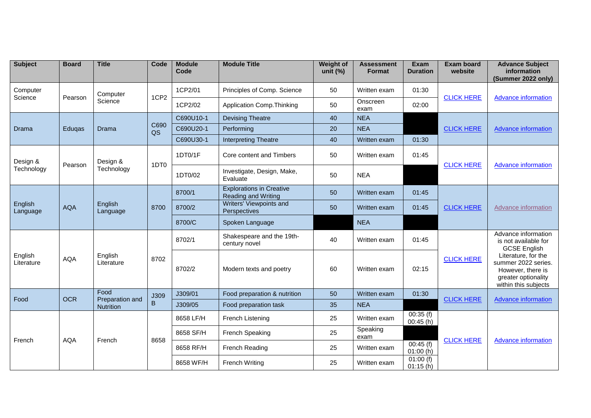| <b>Subject</b>        | <b>Board</b> | <b>Title</b>            | Code             | <b>Module</b><br>Code                   | <b>Module Title</b>                                    | <b>Weight of</b><br>unit $(\%)$ | <b>Assessment</b><br><b>Format</b> | <b>Exam</b><br><b>Duration</b> | <b>Exam board</b><br>website | <b>Advance Subject</b><br>information<br>(Summer 2022 only)                                                    |
|-----------------------|--------------|-------------------------|------------------|-----------------------------------------|--------------------------------------------------------|---------------------------------|------------------------------------|--------------------------------|------------------------------|----------------------------------------------------------------------------------------------------------------|
| Computer              |              | Computer                | 1CP <sub>2</sub> | 1CP2/01                                 | Principles of Comp. Science                            | 50                              | Written exam                       | 01:30                          |                              |                                                                                                                |
| Science               | Pearson      | Science                 |                  | 1CP2/02                                 | Application Comp. Thinking                             | 50                              | Onscreen<br>exam                   | 02:00                          | <b>CLICK HERE</b>            | <b>Advance information</b>                                                                                     |
|                       |              |                         |                  | C690U10-1                               | <b>Devising Theatre</b>                                | 40                              | <b>NEA</b>                         |                                | <b>CLICK HERE</b>            |                                                                                                                |
| Drama                 | Edugas       | Drama                   | C690<br>QS       | C690U20-1                               | Performing                                             | 20                              | <b>NEA</b>                         |                                |                              | <b>Advance information</b>                                                                                     |
|                       |              |                         |                  | C690U30-1                               | <b>Interpreting Theatre</b>                            | 40                              | Written exam                       | 01:30                          |                              |                                                                                                                |
| Design &              | Pearson      | Design &                | 1DT <sub>0</sub> | 1DT0/1F                                 | Core content and Timbers                               | 50                              | Written exam                       | 01:45                          |                              |                                                                                                                |
| Technology            |              | Technology              |                  | 1DT0/02                                 | Investigate, Design, Make,<br>Evaluate                 | 50                              | <b>NEA</b>                         |                                | <b>CLICK HERE</b>            | Advance information                                                                                            |
|                       |              |                         |                  | 8700/1                                  | <b>Explorations in Creative</b><br>Reading and Writing | 50                              | Written exam                       | 01:45                          | <b>CLICK HERE</b>            | Advance information                                                                                            |
| English<br>Language   | <b>AQA</b>   | English<br>Language     | 8700             | 8700/2                                  | Writers' Viewpoints and<br>Perspectives                | 50                              | Written exam                       | 01:45                          |                              |                                                                                                                |
|                       |              |                         |                  | 8700/C                                  | Spoken Language                                        |                                 | <b>NEA</b>                         |                                |                              |                                                                                                                |
| English<br>Literature | <b>AQA</b>   | English<br>Literature   | 8702             | 8702/1                                  | Shakespeare and the 19th-<br>century novel             | 40                              | Written exam                       | 01:45                          |                              | Advance information<br>is not available for<br><b>GCSE English</b>                                             |
|                       |              |                         |                  | 8702/2                                  | Modern texts and poetry                                | 60                              | Written exam                       | 02:15                          | <b>CLICK HERE</b>            | Literature, for the<br>summer 2022 series.<br>However, there is<br>greater optionality<br>within this subjects |
| Food                  | <b>OCR</b>   | Food<br>Preparation and | J309             | J309/01<br>Food preparation & nutrition | 50                                                     | Written exam                    | 01:30                              | <b>CLICK HERE</b>              | <b>Advance information</b>   |                                                                                                                |
|                       |              | <b>Nutrition</b>        | B                | J309/05                                 | Food preparation task                                  | 35                              | <b>NEA</b>                         |                                |                              |                                                                                                                |
| French                | <b>AQA</b>   | French                  |                  | 8658 LF/H                               | French Listening                                       | 25                              | Written exam                       | 00:35(f)<br>00:45(h)           |                              |                                                                                                                |
|                       |              |                         | 8658             | 8658 SF/H                               | French Speaking                                        | 25                              | Speaking<br>exam                   |                                | <b>CLICK HERE</b>            | <b>Advance information</b>                                                                                     |
|                       |              |                         |                  | 8658 RF/H                               | French Reading                                         | 25                              | Written exam                       | 00:45(f)<br>01:00(h)           |                              |                                                                                                                |
|                       |              |                         |                  | 8658 WF/H                               | <b>French Writing</b>                                  | 25                              | Written exam                       | 01:00(f)<br>01:15(h)           |                              |                                                                                                                |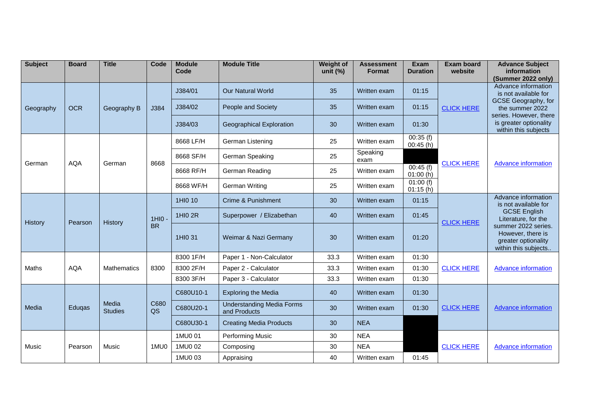| <b>Subject</b> | <b>Board</b> | <b>Title</b>            | Code       | <b>Module</b><br>Code | <b>Module Title</b>                              | <b>Weight of</b><br>unit $(\%)$ | <b>Assessment</b><br><b>Format</b> | <b>Exam</b><br><b>Duration</b> | <b>Exam board</b><br>website | <b>Advance Subject</b><br>information<br>(Summer 2022 only)                                                                                                       |                                                                                         |  |           |                            |      |              |       |  |  |
|----------------|--------------|-------------------------|------------|-----------------------|--------------------------------------------------|---------------------------------|------------------------------------|--------------------------------|------------------------------|-------------------------------------------------------------------------------------------------------------------------------------------------------------------|-----------------------------------------------------------------------------------------|--|-----------|----------------------------|------|--------------|-------|--|--|
| Geography      | <b>OCR</b>   | Geography B             |            | J384/01               | <b>Our Natural World</b>                         | 35                              | Written exam                       | 01:15                          |                              | Advance information<br>is not available for<br>GCSE Geography, for<br>the summer 2022<br>series. However, there<br>is greater optionality<br>within this subjects |                                                                                         |  |           |                            |      |              |       |  |  |
|                |              |                         | J384       | J384/02               | People and Society                               | 35                              | Written exam                       | 01:15                          | <b>CLICK HERE</b>            |                                                                                                                                                                   |                                                                                         |  |           |                            |      |              |       |  |  |
|                |              |                         |            | J384/03               | <b>Geographical Exploration</b>                  | 30                              | Written exam                       | 01:30                          |                              |                                                                                                                                                                   |                                                                                         |  |           |                            |      |              |       |  |  |
|                |              |                         |            | 8668 LF/H             | German Listening                                 | 25                              | Written exam                       | 00:35(f)<br>00:45(h)           | <b>CLICK HERE</b>            |                                                                                                                                                                   |                                                                                         |  |           |                            |      |              |       |  |  |
| German         | <b>AQA</b>   | German                  | 8668       | 8668 SF/H             | German Speaking                                  | 25                              | Speaking<br>exam                   |                                |                              | <b>Advance information</b>                                                                                                                                        |                                                                                         |  |           |                            |      |              |       |  |  |
|                |              |                         |            | 8668 RF/H             | German Reading                                   | 25                              | Written exam                       | 00:45(f)<br>01:00(h)           |                              |                                                                                                                                                                   |                                                                                         |  |           |                            |      |              |       |  |  |
|                |              |                         |            | 8668 WF/H             | German Writing                                   | 25                              | Written exam                       | 01:00(f)<br>01:15(h)           |                              |                                                                                                                                                                   |                                                                                         |  |           |                            |      |              |       |  |  |
| History        | Pearson      | History                 | 1HIO       | 1HI0 10               | <b>Crime &amp; Punishment</b>                    | 30                              | Written exam                       | 01:15                          | <b>CLICK HERE</b>            | Advance information<br>is not available for<br><b>GCSE English</b><br>Literature, for the                                                                         |                                                                                         |  |           |                            |      |              |       |  |  |
|                |              |                         |            | 1HI0 2R               | Superpower / Elizabethan                         | 40                              | Written exam                       | 01:45                          |                              |                                                                                                                                                                   |                                                                                         |  |           |                            |      |              |       |  |  |
|                |              |                         | <b>BR</b>  |                       | 1HI0 31                                          | Weimar & Nazi Germany           | 30                                 | Written exam                   | 01:20                        |                                                                                                                                                                   | summer 2022 series.<br>However, there is<br>greater optionality<br>within this subjects |  |           |                            |      |              |       |  |  |
|                | <b>AQA</b>   | Mathematics             |            |                       | 8300 1F/H                                        | Paper 1 - Non-Calculator        | 33.3                               | Written exam                   | 01:30                        |                                                                                                                                                                   |                                                                                         |  |           |                            |      |              |       |  |  |
| Maths          |              |                         | 8300       | 8300 2F/H             | Paper 2 - Calculator                             | 33.3                            | Written exam                       | 01:30                          | <b>CLICK HERE</b>            | <b>Advance information</b>                                                                                                                                        |                                                                                         |  |           |                            |      |              |       |  |  |
|                |              |                         |            |                       |                                                  |                                 |                                    |                                |                              |                                                                                                                                                                   |                                                                                         |  | 8300 3F/H | Paper 3 - Calculator       | 33.3 | Written exam | 01:30 |  |  |
|                | Eduqas       |                         |            |                       |                                                  |                                 |                                    |                                |                              |                                                                                                                                                                   |                                                                                         |  | C680U10-1 | <b>Exploring the Media</b> | 40   | Written exam | 01:30 |  |  |
| Media          |              | Media<br><b>Studies</b> | C680<br>QS | C680U20-1             | <b>Understanding Media Forms</b><br>and Products | 30                              | Written exam                       | 01:30                          | <b>CLICK HERE</b>            | <b>Advance information</b>                                                                                                                                        |                                                                                         |  |           |                            |      |              |       |  |  |
|                |              |                         |            | C680U30-1             | <b>Creating Media Products</b>                   | 30                              | <b>NEA</b>                         |                                |                              |                                                                                                                                                                   |                                                                                         |  |           |                            |      |              |       |  |  |
| Music          | Pearson      | Music                   | 1MU0       | 1MU0 01               | <b>Performing Music</b>                          | 30                              | <b>NEA</b>                         |                                | <b>CLICK HERE</b>            |                                                                                                                                                                   |                                                                                         |  |           |                            |      |              |       |  |  |
|                |              |                         |            | 1MU0 02               | Composing                                        | 30                              | <b>NEA</b>                         |                                |                              | <b>Advance information</b>                                                                                                                                        |                                                                                         |  |           |                            |      |              |       |  |  |
|                |              |                         |            | 1MU0 03               | Appraising                                       | 40                              | Written exam                       | 01:45                          |                              |                                                                                                                                                                   |                                                                                         |  |           |                            |      |              |       |  |  |